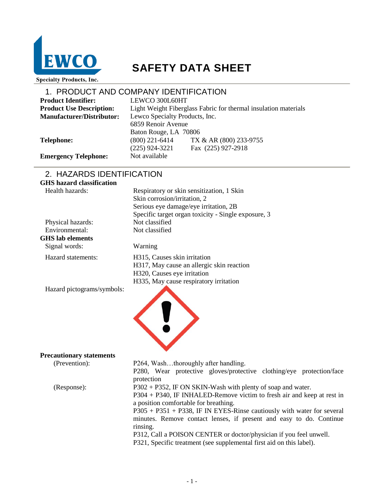

# **SAFETY DATA SHEET**

**Specialty Products, Inc.** 

|                                  | 1. PRODUCT AND COMPANY IDENTIFICATION                           |
|----------------------------------|-----------------------------------------------------------------|
| <b>Product Identifier:</b>       | LEWCO 300L60HT                                                  |
| <b>Product Use Description:</b>  | Light Weight Fiberglass Fabric for thermal insulation materials |
| <b>Manufacturer/Distributor:</b> | Lewco Specialty Products, Inc.                                  |
|                                  | 6859 Renoir Avenue                                              |
|                                  | Baton Rouge, LA 70806                                           |
| <b>Telephone:</b>                | TX & AR (800) 233-9755<br>$(800)$ 221-6414                      |
|                                  | Fax (225) 927-2918<br>$(225)$ 924-3221                          |
| <b>Emergency Telephone:</b>      | Not available                                                   |

## 2. HAZARDS IDENTIFICATION

| <b>GHS</b> hazard classification |                                                                                                                                                                                                                                                                                                                                                                                                                                                                                              |
|----------------------------------|----------------------------------------------------------------------------------------------------------------------------------------------------------------------------------------------------------------------------------------------------------------------------------------------------------------------------------------------------------------------------------------------------------------------------------------------------------------------------------------------|
| Health hazards:                  | Respiratory or skin sensitization, 1 Skin<br>Skin corrosion/irritation, 2<br>Serious eye damage/eye irritation, 2B<br>Specific target organ toxicity - Single exposure, 3                                                                                                                                                                                                                                                                                                                    |
| Physical hazards:                | Not classified                                                                                                                                                                                                                                                                                                                                                                                                                                                                               |
| Environmental:                   | Not classified                                                                                                                                                                                                                                                                                                                                                                                                                                                                               |
| <b>GHS</b> lab elements          |                                                                                                                                                                                                                                                                                                                                                                                                                                                                                              |
| Signal words:                    | Warning                                                                                                                                                                                                                                                                                                                                                                                                                                                                                      |
| Hazard statements:               | H315, Causes skin irritation<br>H317, May cause an allergic skin reaction<br>H320, Causes eye irritation<br>H335, May cause respiratory irritation                                                                                                                                                                                                                                                                                                                                           |
| Hazard pictograms/symbols:       |                                                                                                                                                                                                                                                                                                                                                                                                                                                                                              |
| <b>Precautionary statements</b>  |                                                                                                                                                                                                                                                                                                                                                                                                                                                                                              |
| (Prevention):                    | P264, Washthoroughly after handling.<br>P280, Wear protective gloves/protective clothing/eye protection/face<br>protection                                                                                                                                                                                                                                                                                                                                                                   |
| (Response):                      | P302 + P352, IF ON SKIN-Wash with plenty of soap and water.<br>P304 + P340, IF INHALED-Remove victim to fresh air and keep at rest in<br>a position comfortable for breathing.<br>$P305 + P351 + P338$ , IF IN EYES-Rinse cautiously with water for several<br>minutes. Remove contact lenses, if present and easy to do. Continue<br>rinsing.<br>P312, Call a POISON CENTER or doctor/physician if you feel unwell.<br>P321, Specific treatment (see supplemental first aid on this label). |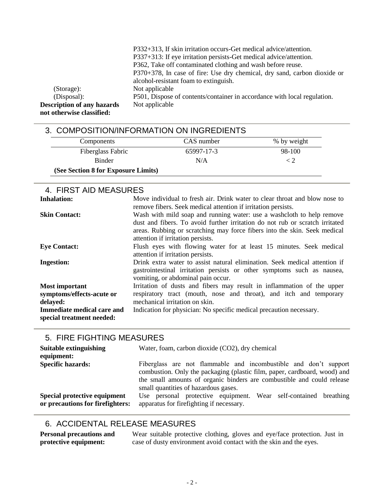|                                   | P332+313, If skin irritation occurs-Get medical advice/attention.        |
|-----------------------------------|--------------------------------------------------------------------------|
|                                   | P337+313: If eye irritation persists-Get medical advice/attention.       |
|                                   | P362, Take off contaminated clothing and wash before reuse.              |
|                                   | P370+378, In case of fire: Use dry chemical, dry sand, carbon dioxide or |
|                                   | alcohol-resistant foam to extinguish.                                    |
| (Storage):                        | Not applicable                                                           |
| (Disposal):                       | P501, Dispose of contents/container in accordance with local regulation. |
| <b>Description of any hazards</b> | Not applicable                                                           |
| not otherwise classified:         |                                                                          |

| 3. COMPOSITION/INFORMATION ON INGREDIENTS |            |             |
|-------------------------------------------|------------|-------------|
| Components                                | CAS number | % by weight |
| Fiberglass Fabric                         | 65997-17-3 | 98-100      |
| <b>Binder</b>                             | N/A        | $\langle$ 2 |
| (See Section 8 for Exposure Limits)       |            |             |

| 4. FIRST AID MEASURES                                                                        |                                                                                                                                                                                                                                                                         |
|----------------------------------------------------------------------------------------------|-------------------------------------------------------------------------------------------------------------------------------------------------------------------------------------------------------------------------------------------------------------------------|
| <b>Inhalation:</b>                                                                           | Move individual to fresh air. Drink water to clear throat and blow nose to<br>remove fibers. Seek medical attention if irritation persists.                                                                                                                             |
| <b>Skin Contact:</b>                                                                         | Wash with mild soap and running water: use a washcloth to help remove<br>dust and fibers. To avoid further irritation do not rub or scratch irritated<br>areas. Rubbing or scratching may force fibers into the skin. Seek medical<br>attention if irritation persists. |
| <b>Eye Contact:</b>                                                                          | Flush eyes with flowing water for at least 15 minutes. Seek medical<br>attention if irritation persists.                                                                                                                                                                |
| <b>Ingestion:</b>                                                                            | Drink extra water to assist natural elimination. Seek medical attention if<br>gastrointestinal irritation persists or other symptoms such as nausea,<br>vomiting, or abdominal pain occur.                                                                              |
| <b>Most important</b><br>symptoms/effects-acute or<br>delayed:<br>Immediate medical care and | Irritation of dusts and fibers may result in inflammation of the upper<br>respiratory tract (mouth, nose and throat), and itch and temporary<br>mechanical irritation on skin.<br>Indication for physician: No specific medical precaution necessary.                   |
| special treatment needed:                                                                    |                                                                                                                                                                                                                                                                         |

### 5. FIRE FIGHTING MEASURES

| Suitable extinguishing<br>equipment:                             | Water, foam, carbon dioxide (CO2), dry chemical                                                                                                                                                                                                                 |
|------------------------------------------------------------------|-----------------------------------------------------------------------------------------------------------------------------------------------------------------------------------------------------------------------------------------------------------------|
| <b>Specific hazards:</b>                                         | Fiberglass are not flammable and incombustible and don't support<br>combustion. Only the packaging (plastic film, paper, cardboard, wood) and<br>the small amounts of organic binders are combustible and could release<br>small quantities of hazardous gases. |
| Special protective equipment<br>or precautions for firefighters: | Use personal protective equipment. Wear self-contained breathing<br>apparatus for firefighting if necessary.                                                                                                                                                    |

## 6. ACCIDENTAL RELEASE MEASURES

**Personal precautions and protective equipment:**

Wear suitable protective clothing, gloves and eye/face protection. Just in case of dusty environment avoid contact with the skin and the eyes.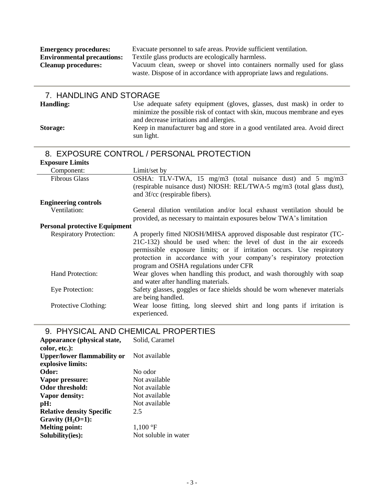| <b>Emergency procedures:</b>      | Evacuate personnel to safe areas. Provide sufficient ventilation.                                                                               |
|-----------------------------------|-------------------------------------------------------------------------------------------------------------------------------------------------|
| <b>Environmental precautions:</b> | Textile glass products are ecologically harmless.                                                                                               |
| <b>Cleanup procedures:</b>        | Vacuum clean, sweep or shovel into containers normally used for glass<br>waste. Dispose of in accordance with appropriate laws and regulations. |
|                                   |                                                                                                                                                 |

| 7. HANDLING AND STORAGE                   |                                                                                                                                                                                                                                                                                                                                       |  |
|-------------------------------------------|---------------------------------------------------------------------------------------------------------------------------------------------------------------------------------------------------------------------------------------------------------------------------------------------------------------------------------------|--|
| <b>Handling:</b>                          | Use adequate safety equipment (gloves, glasses, dust mask) in order to                                                                                                                                                                                                                                                                |  |
|                                           | minimize the possible risk of contact with skin, mucous membrane and eyes<br>and decrease irritations and allergies.                                                                                                                                                                                                                  |  |
| <b>Storage:</b>                           | Keep in manufacturer bag and store in a good ventilated area. Avoid direct<br>sun light.                                                                                                                                                                                                                                              |  |
| 8. EXPOSURE CONTROL / PERSONAL PROTECTION |                                                                                                                                                                                                                                                                                                                                       |  |
| <b>Exposure Limits</b>                    |                                                                                                                                                                                                                                                                                                                                       |  |
| Component:                                | Limit/set by                                                                                                                                                                                                                                                                                                                          |  |
| <b>Fibrous Glass</b>                      | OSHA: TLV-TWA, 15 mg/m3 (total nuisance dust) and 5 mg/m3                                                                                                                                                                                                                                                                             |  |
|                                           | (respirable nuisance dust) NIOSH: REL/TWA-5 mg/m3 (total glass dust),                                                                                                                                                                                                                                                                 |  |
|                                           | and 3f/cc (respirable fibers).                                                                                                                                                                                                                                                                                                        |  |
| <b>Engineering controls</b>               |                                                                                                                                                                                                                                                                                                                                       |  |
| Ventilation:                              | General dilution ventilation and/or local exhaust ventilation should be<br>provided, as necessary to maintain exposures below TWA's limitation                                                                                                                                                                                        |  |
| <b>Personal protective Equipment</b>      |                                                                                                                                                                                                                                                                                                                                       |  |
| <b>Respiratory Protection:</b>            | A properly fitted NIOSH/MHSA approved disposable dust respirator (TC-<br>21C-132) should be used when: the level of dust in the air exceeds<br>permissible exposure limits; or if irritation occurs. Use respiratory<br>protection in accordance with your company's respiratory protection<br>program and OSHA regulations under CFR |  |
| Hand Protection:                          | Wear gloves when handling this product, and wash thoroughly with soap<br>and water after handling materials.                                                                                                                                                                                                                          |  |
| Eye Protection:                           | Safety glasses, goggles or face shields should be worn whenever materials<br>are being handled.                                                                                                                                                                                                                                       |  |
| Protective Clothing:                      | Wear loose fitting, long sleeved shirt and long pants if irritation is<br>experienced.                                                                                                                                                                                                                                                |  |

## 9. PHYSICAL AND CHEMICAL PROPERTIES

| Appearance (physical state,        | Solid, Caramel       |
|------------------------------------|----------------------|
| color, etc.):                      |                      |
| <b>Upper/lower flammability or</b> | Not available        |
| explosive limits:                  |                      |
| Odor:                              | No odor              |
| Vapor pressure:                    | Not available        |
| Odor threshold:                    | Not available        |
| Vapor density:                     | Not available        |
| pH:                                | Not available        |
| <b>Relative density Specific</b>   | 2.5                  |
| Gravity $(H_2O=1)$ :               |                      |
| <b>Melting point:</b>              | 1,100 °F             |
| Solubility(ies):                   | Not soluble in water |
|                                    |                      |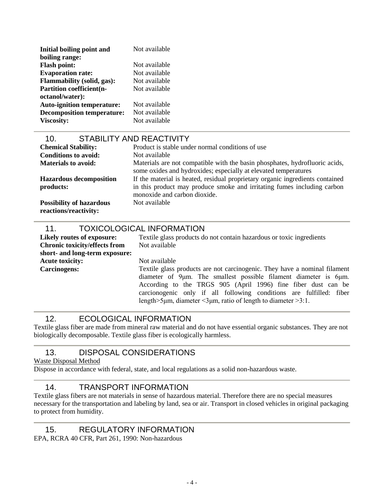| Initial boiling point and         | Not available |
|-----------------------------------|---------------|
| boiling range:                    |               |
| <b>Flash point:</b>               | Not available |
| <b>Evaporation rate:</b>          | Not available |
| <b>Flammability (solid, gas):</b> | Not available |
| <b>Partition coefficient(n-</b>   | Not available |
| octanol/water):                   |               |
| <b>Auto-ignition temperature:</b> | Not available |
| <b>Decomposition temperature:</b> | Not available |
| <b>Viscosity:</b>                 | Not available |

| <b>STABILITY AND REACTIVITY</b><br>10.                   |                                                                                                                                                |
|----------------------------------------------------------|------------------------------------------------------------------------------------------------------------------------------------------------|
| <b>Chemical Stability:</b>                               | Product is stable under normal conditions of use                                                                                               |
| <b>Conditions to avoid:</b>                              | Not available                                                                                                                                  |
| <b>Materials to avoid:</b>                               | Materials are not compatible with the basin phosphates, hydrofluoric acids,<br>some oxides and hydroxides; especially at elevated temperatures |
| <b>Hazardous decomposition</b>                           | If the material is heated, residual proprietary organic ingredients contained                                                                  |
| products:                                                | in this product may produce smoke and irritating fumes including carbon<br>monoxide and carbon dioxide.                                        |
| <b>Possibility of hazardous</b><br>reactions/reactivity: | Not available                                                                                                                                  |

#### 11. TOXICOLOGICAL INFORMATION

**Chronic toxicity/effects from short- and long-term exposure: Acute toxicity:** Not available

**Likely routes of exposure:** Textile glass products do not contain hazardous or toxic ingredients Not available

**Carcinogens:** Textile glass products are not carcinogenic. They have a nominal filament diameter of 9μm. The smallest possible filament diameter is 6μm. According to the TRGS 905 (April 1996) fine fiber dust can be carcionogenic only if all following conditions are fulfilled: fiber length>5μm, diameter <3μm, ratio of length to diameter >3:1.

#### 12. ECOLOGICAL INFORMATION

Textile glass fiber are made from mineral raw material and do not have essential organic substances. They are not biologically decomposable. Textile glass fiber is ecologically harmless.

### 13. DISPOSAL CONSIDERATIONS

Waste Disposal Method

Dispose in accordance with federal, state, and local regulations as a solid non-hazardous waste.

#### 14. TRANSPORT INFORMATION

Textile glass fibers are not materials in sense of hazardous material. Therefore there are no special measures necessary for the transportation and labeling by land, sea or air. Transport in closed vehicles in original packaging to protect from humidity.

15. REGULATORY INFORMATION

EPA, RCRA 40 CFR, Part 261, 1990: Non-hazardous